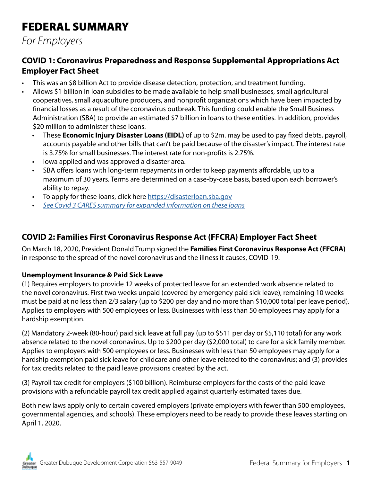# FEDERAL SUMMARY

*For Employers*

## **COVID 1: Coronavirus Preparedness and Response Supplemental Appropriations Act Employer Fact Sheet**

- This was an \$8 billion Act to provide disease detection, protection, and treatment funding.
- Allows \$1 billion in loan subsidies to be made available to help small businesses, small agricultural cooperatives, small aquaculture producers, and nonprofit organizations which have been impacted by financial losses as a result of the coronavirus outbreak. This funding could enable the Small Business Administration (SBA) to provide an estimated \$7 billion in loans to these entities. In addition, provides \$20 million to administer these loans.
	- These **Economic Injury Disaster Loans (EIDL)** of up to \$2m. may be used to pay fixed debts, payroll, accounts payable and other bills that can't be paid because of the disaster's impact. The interest rate is 3.75% for small businesses. The interest rate for non-profits is 2.75%.
	- Iowa applied and was approved a disaster area.
	- SBA offers loans with long-term repayments in order to keep payments affordable, up to a maximum of 30 years. Terms are determined on a case-by-case basis, based upon each borrower's ability to repay.
	- To apply for these loans, click here<https://disasterloan.sba.gov>
	- *• [See Covid 3 CARES summary for expanded information on these loans](#page-1-0)*

## **COVID 2: Families First Coronavirus Response Act (FFCRA) Employer Fact Sheet**

On March 18, 2020, President Donald Trump signed the **Families First Coronavirus Response Act (FFCRA)** in response to the spread of the novel coronavirus and the illness it causes, COVID-19.

#### **Unemployment Insurance & Paid Sick Leave**

(1) Requires employers to provide 12 weeks of protected leave for an extended work absence related to the novel coronavirus. First two weeks unpaid (covered by emergency paid sick leave), remaining 10 weeks must be paid at no less than 2/3 salary (up to \$200 per day and no more than \$10,000 total per leave period). Applies to employers with 500 employees or less. Businesses with less than 50 employees may apply for a hardship exemption.

(2) Mandatory 2-week (80-hour) paid sick leave at full pay (up to \$511 per day or \$5,110 total) for any work absence related to the novel coronavirus. Up to \$200 per day (\$2,000 total) to care for a sick family member. Applies to employers with 500 employees or less. Businesses with less than 50 employees may apply for a hardship exemption paid sick leave for childcare and other leave related to the coronavirus; and (3) provides for tax credits related to the paid leave provisions created by the act.

(3) Payroll tax credit for employers (\$100 billion). Reimburse employers for the costs of the paid leave provisions with a refundable payroll tax credit applied against quarterly estimated taxes due.

Both new laws apply only to certain covered employers (private employers with fewer than 500 employees, governmental agencies, and schools). These employers need to be ready to provide these leaves starting on April 1, 2020.

Greater Dubuque Development Corporation 563-557-9049 Federal Summary for Employers 1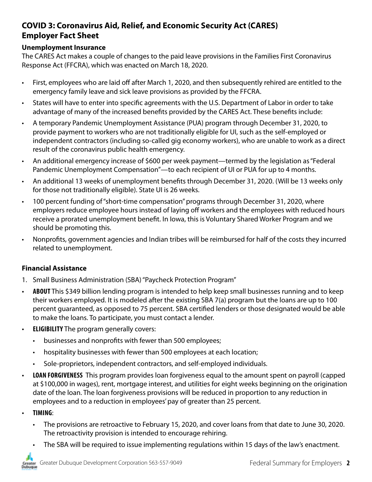## <span id="page-1-0"></span>**COVID 3: Coronavirus Aid, Relief, and Economic Security Act (CARES) Employer Fact Sheet**

#### **Unemployment Insurance**

The CARES Act makes a couple of changes to the paid leave provisions in the Families First Coronavirus Response Act (FFCRA), which was enacted on March 18, 2020.

- First, employees who are laid off after March 1, 2020, and then subsequently rehired are entitled to the emergency family leave and sick leave provisions as provided by the FFCRA.
- States will have to enter into specific agreements with the U.S. Department of Labor in order to take advantage of many of the increased benefits provided by the CARES Act. These benefits include:
- A temporary Pandemic Unemployment Assistance (PUA) program through December 31, 2020, to provide payment to workers who are not traditionally eligible for UI, such as the self-employed or independent contractors (including so-called gig economy workers), who are unable to work as a direct result of the coronavirus public health emergency.
- An additional emergency increase of \$600 per week payment—termed by the legislation as "Federal Pandemic Unemployment Compensation"—to each recipient of UI or PUA for up to 4 months.
- An additional 13 weeks of unemployment benefits through December 31, 2020. (Will be 13 weeks only for those not traditionally eligible). State UI is 26 weeks.
- 100 percent funding of "short-time compensation" programs through December 31, 2020, where employers reduce employee hours instead of laying off workers and the employees with reduced hours receive a prorated unemployment benefit. In Iowa, this is Voluntary Shared Worker Program and we should be promoting this.
- Nonprofits, government agencies and Indian tribes will be reimbursed for half of the costs they incurred related to unemployment.

#### **Financial Assistance**

- 1. Small Business Administration (SBA) "Paycheck Protection Program"
- **• ABOUT** This \$349 billion lending program is intended to help keep small businesses running and to keep their workers employed. It is modeled after the existing SBA 7(a) program but the loans are up to 100 percent guaranteed, as opposed to 75 percent. SBA certified lenders or those designated would be able to make the loans. To participate, you must contact a lender.
- **• ELIGIBILITY** The program generally covers:
	- businesses and nonprofits with fewer than 500 employees;
	- hospitality businesses with fewer than 500 employees at each location;
	- Sole-proprietors, independent contractors, and self-employed individuals.
- **• LOAN FORGIVENESS** This program provides loan forgiveness equal to the amount spent on payroll (capped at \$100,000 in wages), rent, mortgage interest, and utilities for eight weeks beginning on the origination date of the loan. The loan forgiveness provisions will be reduced in proportion to any reduction in employees and to a reduction in employees' pay of greater than 25 percent.
- **• TIMING**:
	- The provisions are retroactive to February 15, 2020, and cover loans from that date to June 30, 2020. The retroactivity provision is intended to encourage rehiring.
	- The SBA will be required to issue implementing regulations within 15 days of the law's enactment.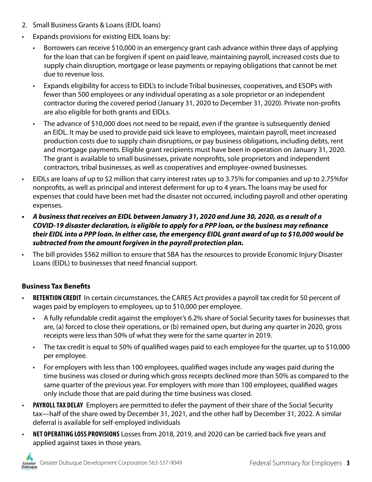- 2. Small Business Grants & Loans (EIDL loans)
- Expands provisions for existing EIDL loans by:
	- Borrowers can receive \$10,000 in an emergency grant cash advance within three days of applying for the loan that can be forgiven if spent on paid leave, maintaining payroll, increased costs due to supply chain disruption, mortgage or lease payments or repaying obligations that cannot be met due to revenue loss.
	- Expands eligibility for access to EIDL's to include Tribal businesses, cooperatives, and ESOPs with fewer than 500 employees or any individual operating as a sole proprietor or an independent contractor during the covered period (January 31, 2020 to December 31, 2020). Private non-profits are also eligible for both grants and EIDLs.
	- The advance of \$10,000 does not need to be repaid, even if the grantee is subsequently denied an EIDL. It may be used to provide paid sick leave to employees, maintain payroll, meet increased production costs due to supply chain disruptions, or pay business obligations, including debts, rent and mortgage payments. Eligible grant recipients must have been in operation on January 31, 2020. The grant is available to small businesses, private nonprofits, sole proprietors and independent contractors, tribal businesses, as well as cooperatives and employee-owned businesses.
- EIDLs are loans of up to \$2 million that carry interest rates up to 3.75% for companies and up to 2.75%for nonprofits, as well as principal and interest deferment for up to 4 years. The loans may be used for expenses that could have been met had the disaster not occurred, including payroll and other operating expenses.
- *• A business that receives an EIDL between January 31, 2020 and June 30, 2020, as a result of a COVID-19 disaster declaration, is eligible to apply for a PPP loan, or the business may refinance their EIDL into a PPP loan. In either case, the emergency EIDL grant award of up to \$10,000 would be subtracted from the amount forgiven in the payroll protection plan.*
- The bill provides \$562 million to ensure that SBA has the resources to provide Economic Injury Disaster Loans (EIDL) to businesses that need financial support.

### **Business Tax Benefits**

- **• RETENTION CREDIT** In certain circumstances, the CARES Act provides a payroll tax credit for 50 percent of wages paid by employers to employees, up to \$10,000 per employee.
	- A fully refundable credit against the employer's 6.2% share of Social Security taxes for businesses that are, (a) forced to close their operations, or (b) remained open, but during any quarter in 2020, gross receipts were less than 50% of what they were for the same quarter in 2019.
	- The tax credit is equal to 50% of qualified wages paid to each employee for the quarter, up to \$10,000 per employee.
	- For employers with less than 100 employees, qualified wages include any wages paid during the time business was closed or during which gross receipts declined more than 50% as compared to the same quarter of the previous year. For employers with more than 100 employees, qualified wages only include those that are paid during the time business was closed.
- **• PAYROLL TAX DELAY** Employers are permitted to defer the payment of their share of the Social Security tax—half of the share owed by December 31, 2021, and the other half by December 31, 2022. A similar deferral is available for self-employed individuals
- **• NET OPERATING LOSS PROVISIONS** Losses from 2018, 2019, and 2020 can be carried back five years and applied against taxes in those years.

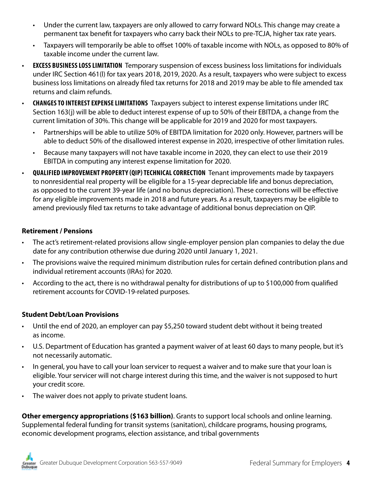- Under the current law, taxpayers are only allowed to carry forward NOLs. This change may create a permanent tax benefit for taxpayers who carry back their NOLs to pre-TCJA, higher tax rate years.
- Taxpayers will temporarily be able to offset 100% of taxable income with NOLs, as opposed to 80% of taxable income under the current law.
- **• EXCESS BUSINESS LOSS LIMITATION** Temporary suspension of excess business loss limitations for individuals under IRC Section 461(l) for tax years 2018, 2019, 2020. As a result, taxpayers who were subject to excess business loss limitations on already filed tax returns for 2018 and 2019 may be able to file amended tax returns and claim refunds.
- **• CHANGES TO INTEREST EXPENSE LIMITATIONS** Taxpayers subject to interest expense limitations under IRC Section 163(j) will be able to deduct interest expense of up to 50% of their EBITDA, a change from the current limitation of 30%. This change will be applicable for 2019 and 2020 for most taxpayers.
	- Partnerships will be able to utilize 50% of EBITDA limitation for 2020 only. However, partners will be able to deduct 50% of the disallowed interest expense in 2020, irrespective of other limitation rules.
	- Because many taxpayers will not have taxable income in 2020, they can elect to use their 2019 EBITDA in computing any interest expense limitation for 2020.
- **• QUALIFIED IMPROVEMENT PROPERTY (QIP) TECHNICAL CORRECTION** Tenant improvements made by taxpayers to nonresidential real property will be eligible for a 15-year depreciable life and bonus depreciation, as opposed to the current 39-year life (and no bonus depreciation). These corrections will be effective for any eligible improvements made in 2018 and future years. As a result, taxpayers may be eligible to amend previously filed tax returns to take advantage of additional bonus depreciation on QIP.

#### **Retirement / Pensions**

- The act's retirement-related provisions allow single-employer pension plan companies to delay the due date for any contribution otherwise due during 2020 until January 1, 2021.
- The provisions waive the required minimum distribution rules for certain defined contribution plans and individual retirement accounts (IRAs) for 2020.
- According to the act, there is no withdrawal penalty for distributions of up to \$100,000 from qualified retirement accounts for COVID-19-related purposes.

#### **Student Debt/Loan Provisions**

- Until the end of 2020, an employer can pay \$5,250 toward student debt without it being treated as income.
- U.S. Department of Education has granted a payment waiver of at least 60 days to many people, but it's not necessarily automatic.
- In general, you have to call your loan servicer to request a waiver and to make sure that your loan is eligible. Your servicer will not charge interest during this time, and the waiver is not supposed to hurt your credit score.
- The waiver does not apply to private student loans.

**Other emergency appropriations (\$163 billion)**. Grants to support local schools and online learning. Supplemental federal funding for transit systems (sanitation), childcare programs, housing programs, economic development programs, election assistance, and tribal governments